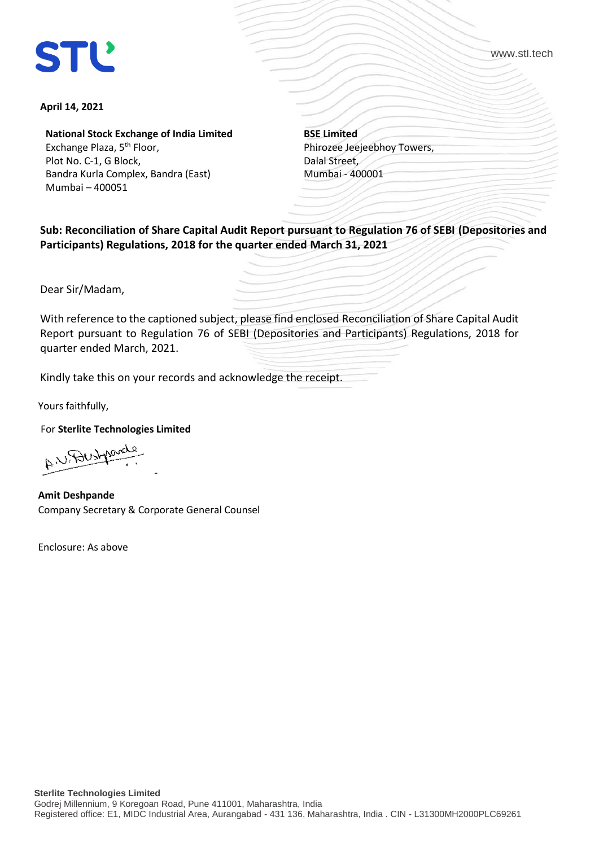# **STL**

www.stl.tech

#### **April 14, 2021**

**National Stock Exchange of India Limited** Exchange Plaza, 5<sup>th</sup> Floor, Plot No. C-1, G Block, Bandra Kurla Complex, Bandra (East) Mumbai – 400051

**BSE Limited** Phirozee Jeejeebhoy Towers, Dalal Street, Mumbai - 400001

**Sub: Reconciliation of Share Capital Audit Report pursuant to Regulation 76 of SEBI (Depositories and Participants) Regulations, 2018 for the quarter ended March 31, 2021** 

Dear Sir/Madam,

With reference to the captioned subject, please find enclosed Reconciliation of Share Capital Audit Report pursuant to Regulation 76 of SEBI (Depositories and Participants) Regulations, 2018 for quarter ended March, 2021.

Kindly take this on your records and acknowledge the receipt.

Yours faithfully,

For **Sterlite Technologies Limited**

A. U. Destyrond -

 **Amit Deshpande**  Company Secretary & Corporate General Counsel

Enclosure: As above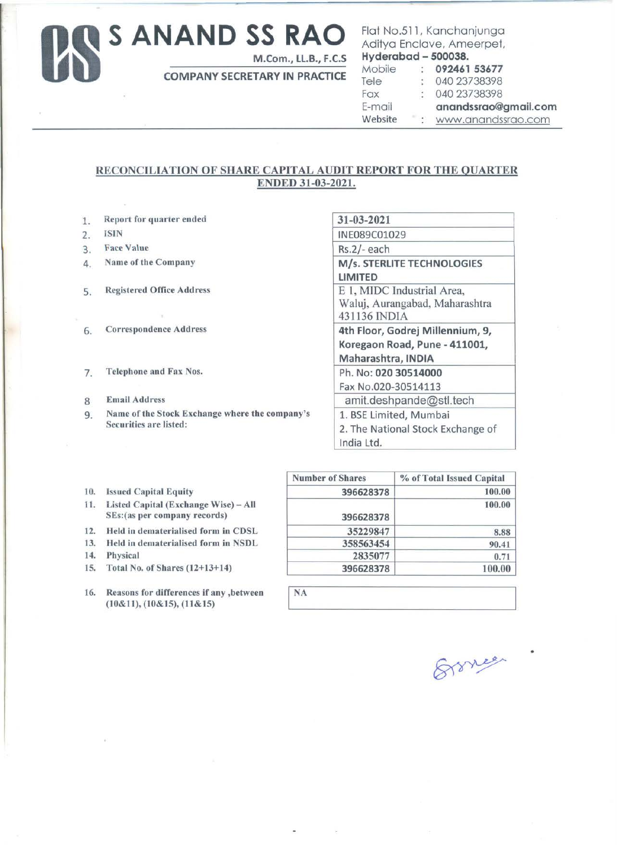## Us **S ANAND SS RAO**

M.Com., LL.B., F.C.S

COMPANY SECRETARY IN PRACTICE

### Flat No.511, Kanchanjunga Aditya Enclave, Ameerpet,  $Hyderabad - 500038.$

| Mobile  | $\mathcal{L}_{\mathcal{L}}$ | 092461 53677         |
|---------|-----------------------------|----------------------|
| Tele    |                             | 040 23738398         |
| Fax     |                             | 040 23738398         |
| E-mail  |                             | anandssrao@gmail.com |
| Website |                             | : www.anandssrao.com |

### RECONCILIATION OF SHARE CAPITAL AUDIT REPORT FOR THE QUARTER ENDED 31-03-2021.

**NA** 

- 1. Report for quarter ended
- 2. ISIN
- 3. Face Value
- 4. Name of the Company
- 5. Registered Office Address
- 6. Correspondence Address
- 7. Telephone and Fax Nos.
- 8 Email Address
- 9. Name of the Stock Exchange where the company's Securities are listed:

| 31-03-2021                        |
|-----------------------------------|
| INE089C01029                      |
| Rs.2/-each                        |
| M/s. STERLITE TECHNOLOGIES        |
| LIMITED                           |
| E 1, MIDC Industrial Area,        |
| Waluj, Aurangabad, Maharashtra    |
| 431136 INDIA                      |
| 4th Floor, Godrej Millennium, 9,  |
| Koregaon Road, Pune - 411001,     |
| Maharashtra, INDIA                |
| Ph. No: 020 30514000              |
| Fax No.020-30514113               |
| amit.deshpande@stl.tech           |
| 1. BSE Limited, Mumbai            |
| 2. The National Stock Exchange of |
| India Ltd.                        |
|                                   |

- 10. Issued Capital Equity
- 11. Listed Capital (Exchange Wise)- All SEs:(as per company records)
- 12. Held in dematerialised form in CDSL
- 13. Held in dematerialised form in NSDL
- 14. Physical
- 15. Total No. of Shares (12+13+14)
- 16. Reasons for differences if any ,between (10&11), (10&15), (11&15)

| <b>Number of Shares</b> | % of Total Issued Capital |
|-------------------------|---------------------------|
| 396628378               | 100.00                    |
| 396628378               | 100.00                    |
| 35229847                | 8.88                      |
| 358563454               | 90.41                     |
| 2835077                 | 0.71                      |
| 396628378               | 100.00                    |



•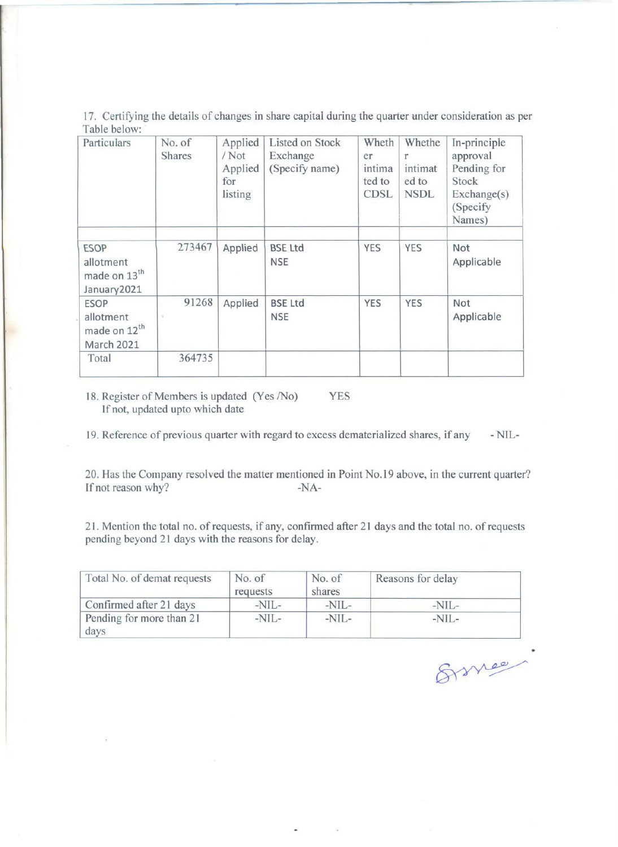17. Certifying the details of changes in share capital during the quarter under consideration as per Table below:

| Particulars                                                               | No. of<br><b>Shares</b> | Applied<br>$/$ Not<br>Applied<br>for<br>listing | Listed on Stock<br>Exchange<br>(Specify name) | Wheth<br>er<br>intima<br>ted to<br><b>CDSL</b> | Whethe<br>intimat<br>ed to<br><b>NSDL</b> | In-principle<br>approval<br>Pending for<br>Stock<br>Exchange(s)<br>(Specify<br>Names) |
|---------------------------------------------------------------------------|-------------------------|-------------------------------------------------|-----------------------------------------------|------------------------------------------------|-------------------------------------------|---------------------------------------------------------------------------------------|
| <b>ESOP</b><br>allotment<br>made on 13 <sup>th</sup><br>January2021       | 273467                  | Applied                                         | <b>BSE Ltd</b><br><b>NSE</b>                  | <b>YES</b>                                     | <b>YES</b>                                | Not<br>Applicable                                                                     |
| <b>ESOP</b><br>allotment<br>made on 12 <sup>th</sup><br><b>March 2021</b> | 91268                   | Applied                                         | <b>BSE Ltd</b><br><b>NSE</b>                  | <b>YES</b>                                     | <b>YES</b>                                | Not<br>Applicable                                                                     |
| Total                                                                     | 364735                  |                                                 |                                               |                                                |                                           |                                                                                       |

18. Register of Members is updated (Yes /No) YES If not, updated upto which date

19. Reference of previous quarter with regard to excess dematerialized shares, if any -NIL-

20. Has the Company resolved the matter mentioned in Point No.19 above, in the current quarter? If not reason why? -NA-

21 . Mention the total no. of requests, if any, confirmed after 21 days and the total no. of requests pending beyond 21 days with the reasons for delay.

| Total No. of demat requests      | No. of<br>requests | No. of<br>shares | Reasons for delay |  |  |
|----------------------------------|--------------------|------------------|-------------------|--|--|
| Confirmed after 21 days          | $-NII -$           | $-NIL-$          | $-NIL-$           |  |  |
| Pending for more than 21<br>days | $-NIL-$            | $-NIL-$          | $-NIL-$           |  |  |

Ermee.